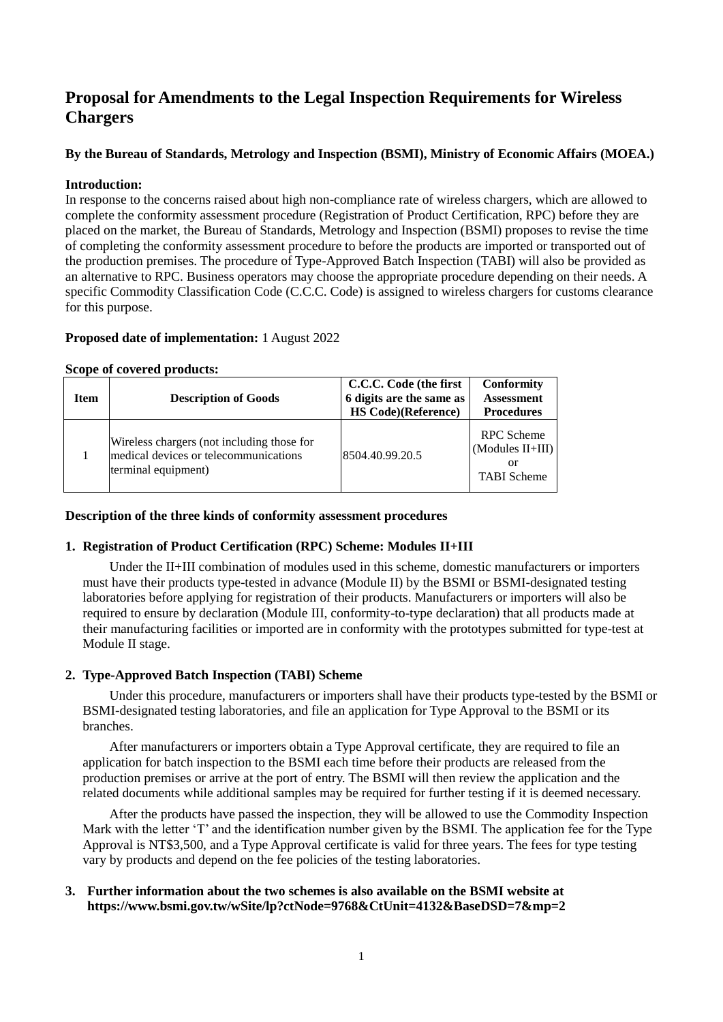# **Proposal for Amendments to the Legal Inspection Requirements for Wireless Chargers**

## **By the Bureau of Standards, Metrology and Inspection (BSMI), Ministry of Economic Affairs (MOEA.)**

#### **Introduction:**

In response to the concerns raised about high non-compliance rate of wireless chargers, which are allowed to complete the conformity assessment procedure (Registration of Product Certification, RPC) before they are placed on the market, the Bureau of Standards, Metrology and Inspection (BSMI) proposes to revise the time of completing the conformity assessment procedure to before the products are imported or transported out of the production premises. The procedure of Type-Approved Batch Inspection (TABI) will also be provided as an alternative to RPC. Business operators may choose the appropriate procedure depending on their needs. A specific Commodity Classification Code (C.C.C. Code) is assigned to wireless chargers for customs clearance for this purpose.

#### **Proposed date of implementation:** 1 August 2022

#### **Scope of covered products:**

| Item | <b>Description of Goods</b>                                                                                | C.C.C. Code (the first<br>6 digits are the same as<br><b>HS Code)</b> (Reference) | <b>Conformity</b><br><b>Assessment</b><br><b>Procedures</b>       |
|------|------------------------------------------------------------------------------------------------------------|-----------------------------------------------------------------------------------|-------------------------------------------------------------------|
|      | Wireless chargers (not including those for<br>medical devices or telecommunications<br>terminal equipment) | 8504.40.99.20.5                                                                   | <b>RPC</b> Scheme<br>(Modules II+III)<br>or<br><b>TABI</b> Scheme |

#### **Description of the three kinds of conformity assessment procedures**

## **1. Registration of Product Certification (RPC) Scheme: Modules II+III**

Under the II+III combination of modules used in this scheme, domestic manufacturers or importers must have their products type-tested in advance (Module II) by the BSMI or BSMI-designated testing laboratories before applying for registration of their products. Manufacturers or importers will also be required to ensure by declaration (Module III, conformity-to-type declaration) that all products made at their manufacturing facilities or imported are in conformity with the prototypes submitted for type-test at Module II stage.

## **2. Type-Approved Batch Inspection (TABI) Scheme**

Under this procedure, manufacturers or importers shall have their products type-tested by the BSMI or BSMI-designated testing laboratories, and file an application for Type Approval to the BSMI or its branches.

After manufacturers or importers obtain a Type Approval certificate, they are required to file an application for batch inspection to the BSMI each time before their products are released from the production premises or arrive at the port of entry. The BSMI will then review the application and the related documents while additional samples may be required for further testing if it is deemed necessary.

After the products have passed the inspection, they will be allowed to use the Commodity Inspection Mark with the letter 'T' and the identification number given by the BSMI. The application fee for the Type Approval is NT\$3,500, and a Type Approval certificate is valid for three years. The fees for type testing vary by products and depend on the fee policies of the testing laboratories.

#### **3. Further information about the two schemes is also available on the BSMI website at https://www.bsmi.gov.tw/wSite/lp?ctNode=9768&CtUnit=4132&BaseDSD=7&mp=2**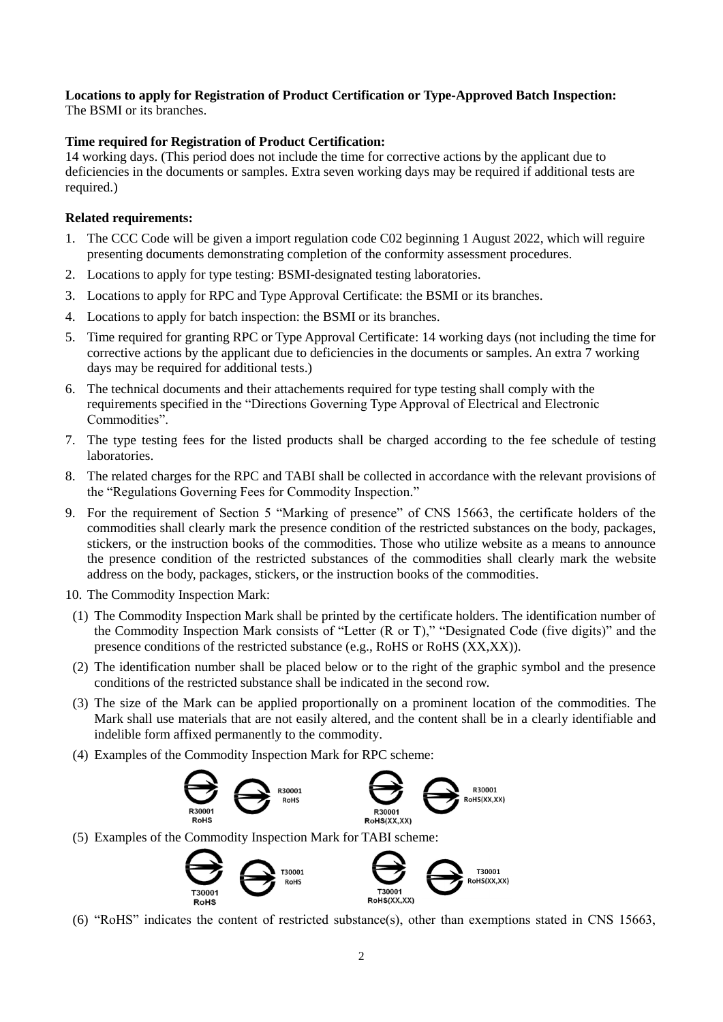#### **Locations to apply for Registration of Product Certification or Type-Approved Batch Inspection:** The BSMI or its branches.

## **Time required for Registration of Product Certification:**

14 working days. (This period does not include the time for corrective actions by the applicant due to deficiencies in the documents or samples. Extra seven working days may be required if additional tests are required.)

## **Related requirements:**

- 1. The CCC Code will be given a import regulation code C02 beginning 1 August 2022, which will reguire presenting documents demonstrating completion of the conformity assessment procedures.
- 2. Locations to apply for type testing: BSMI-designated testing laboratories.
- 3. Locations to apply for RPC and Type Approval Certificate: the BSMI or its branches.
- 4. Locations to apply for batch inspection: the BSMI or its branches.
- 5. Time required for granting RPC or Type Approval Certificate: 14 working days (not including the time for corrective actions by the applicant due to deficiencies in the documents or samples. An extra 7 working days may be required for additional tests.)
- 6. The technical documents and their attachements required for type testing shall comply with the requirements specified in the "Directions Governing Type Approval of Electrical and Electronic Commodities".
- 7. The type testing fees for the listed products shall be charged according to the fee schedule of testing laboratories.
- 8. The related charges for the RPC and TABI shall be collected in accordance with the relevant provisions of the "Regulations Governing Fees for Commodity Inspection."
- 9. For the requirement of Section 5 "Marking of presence" of CNS 15663, the certificate holders of the commodities shall clearly mark the presence condition of the restricted substances on the body, packages, stickers, or the instruction books of the commodities. Those who utilize website as a means to announce the presence condition of the restricted substances of the commodities shall clearly mark the website address on the body, packages, stickers, or the instruction books of the commodities.
- 10. The Commodity Inspection Mark:
- (1) The Commodity Inspection Mark shall be printed by the certificate holders. The identification number of the Commodity Inspection Mark consists of "Letter (R or T)," "Designated Code (five digits)" and the presence conditions of the restricted substance (e.g., RoHS or RoHS (XX,XX)).
- (2) The identification number shall be placed below or to the right of the graphic symbol and the presence conditions of the restricted substance shall be indicated in the second row.
- (3) The size of the Mark can be applied proportionally on a prominent location of the commodities. The Mark shall use materials that are not easily altered, and the content shall be in a clearly identifiable and indelible form affixed permanently to the commodity.
- (4) Examples of the Commodity Inspection Mark for RPC scheme:



(5) Examples of the Commodity Inspection Mark for TABI scheme:



(6) "RoHS" indicates the content of restricted substance(s), other than exemptions stated in CNS 15663,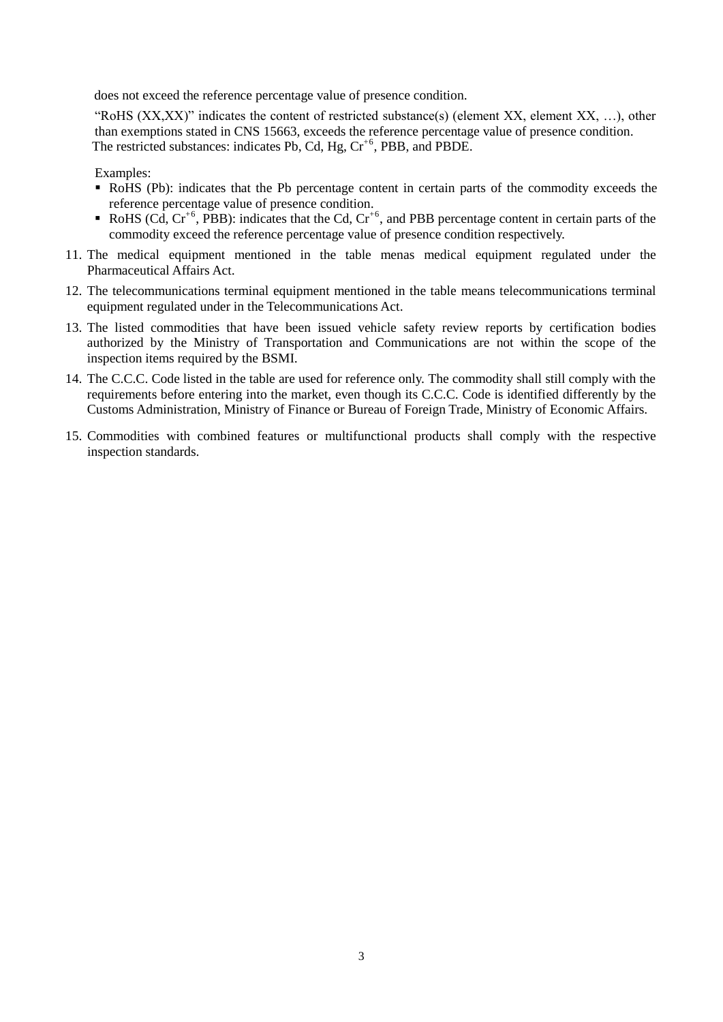does not exceed the reference percentage value of presence condition.

"RoHS (XX,XX)" indicates the content of restricted substance(s) (element XX, element XX, …), other than exemptions stated in CNS 15663, exceeds the reference percentage value of presence condition. The restricted substances: indicates Pb, Cd, Hg,  $Cr<sup>+6</sup>$ , PBB, and PBDE.

Examples:

- RoHS (Pb): indicates that the Pb percentage content in certain parts of the commodity exceeds the reference percentage value of presence condition.
- RoHS (Cd,  $Cr^{+6}$ , PBB): indicates that the Cd,  $Cr^{+6}$ , and PBB percentage content in certain parts of the commodity exceed the reference percentage value of presence condition respectively.
- 11. The medical equipment mentioned in the table menas medical equipment regulated under the Pharmaceutical Affairs Act.
- 12. The telecommunications terminal equipment mentioned in the table means telecommunications terminal equipment regulated under in the Telecommunications Act.
- 13. The listed commodities that have been issued vehicle safety review reports by certification bodies authorized by the Ministry of Transportation and Communications are not within the scope of the inspection items required by the BSMI.
- 14. The C.C.C. Code listed in the table are used for reference only. The commodity shall still comply with the requirements before entering into the market, even though its C.C.C. Code is identified differently by the Customs Administration, Ministry of Finance or Bureau of Foreign Trade, Ministry of Economic Affairs.
- 15. Commodities with combined features or multifunctional products shall comply with the respective inspection standards.